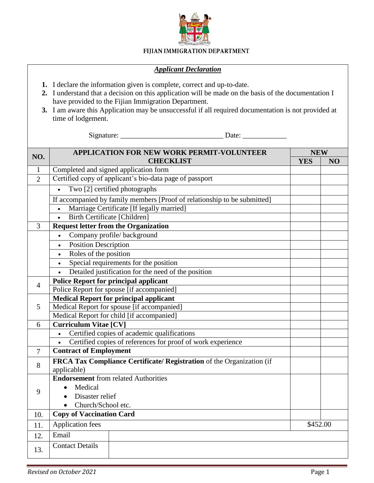

## FIJIAN IMMIGRATION DEPARTMENT

## *Applicant Declaration*

- **1.** I declare the information given is complete, correct and up-to-date.
- **2.** I understand that a decision on this application will be made on the basis of the documentation I have provided to the Fijian Immigration Department.
- **3.** I am aware this Application may be unsuccessful if all required documentation is not provided at time of lodgement.

Signature: \_\_\_\_\_\_\_\_\_\_\_\_\_\_\_\_\_\_\_\_\_\_\_\_\_\_\_\_ Date: \_\_\_\_\_\_\_\_\_\_\_\_

|                | <b>APPLICATION FOR NEW WORK PERMIT-VOLUNTEER</b>                         | <b>NEW</b> |    |
|----------------|--------------------------------------------------------------------------|------------|----|
| NO.            | <b>CHECKLIST</b>                                                         | <b>YES</b> | NO |
| 1              | Completed and signed application form                                    |            |    |
| $\overline{2}$ | Certified copy of applicant's bio-data page of passport                  |            |    |
|                | Two [2] certified photographs<br>$\bullet$                               |            |    |
|                | If accompanied by family members [Proof of relationship to be submitted] |            |    |
|                | Marriage Certificate [If legally married]                                |            |    |
|                | <b>Birth Certificate [Children]</b><br>$\bullet$                         |            |    |
| 3              | <b>Request letter from the Organization</b>                              |            |    |
|                | Company profile/background<br>$\bullet$                                  |            |    |
|                | <b>Position Description</b><br>$\bullet$                                 |            |    |
|                | Roles of the position<br>$\bullet$                                       |            |    |
|                | Special requirements for the position<br>$\bullet$                       |            |    |
|                | Detailed justification for the need of the position                      |            |    |
| 4              | <b>Police Report for principal applicant</b>                             |            |    |
|                | Police Report for spouse [if accompanied]                                |            |    |
|                | <b>Medical Report for principal applicant</b>                            |            |    |
| 5              | Medical Report for spouse [if accompanied]                               |            |    |
|                | Medical Report for child [if accompanied]                                |            |    |
| 6              | <b>Curriculum Vitae [CV]</b>                                             |            |    |
|                | Certified copies of academic qualifications<br>$\bullet$                 |            |    |
|                | Certified copies of references for proof of work experience<br>$\bullet$ |            |    |
| $\overline{7}$ | <b>Contract of Employment</b>                                            |            |    |
| 8              | FRCA Tax Compliance Certificate/ Registration of the Organization (if    |            |    |
|                | applicable)                                                              |            |    |
| 9              | <b>Endorsement</b> from related Authorities                              |            |    |
|                | Medical                                                                  |            |    |
|                | Disaster relief<br>$\bullet$                                             |            |    |
|                | Church/School etc.<br>$\bullet$                                          |            |    |
| 10.            | <b>Copy of Vaccination Card</b>                                          |            |    |
| 11.            | Application fees                                                         | \$452.00   |    |
| 12.            | Email                                                                    |            |    |
| 13.            | <b>Contact Details</b>                                                   |            |    |